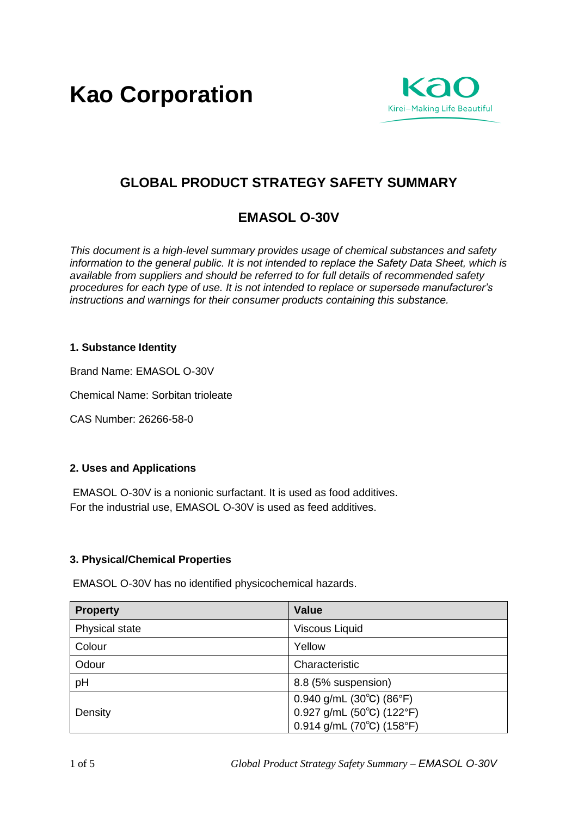**Kao Corporation**



# **GLOBAL PRODUCT STRATEGY SAFETY SUMMARY**

# **EMASOL O-30V**

*This document is a high-level summary provides usage of chemical substances and safety information to the general public. It is not intended to replace the Safety Data Sheet, which is available from suppliers and should be referred to for full details of recommended safety procedures for each type of use. It is not intended to replace or supersede manufacturer's instructions and warnings for their consumer products containing this substance.* 

## **1. Substance Identity**

Brand Name: EMASOL O-30V

Chemical Name: Sorbitan trioleate

CAS Number: 26266-58-0

# **2. Uses and Applications**

EMASOL O-30V is a nonionic surfactant. It is used as food additives. For the industrial use, EMASOL O-30V is used as feed additives.

# **3. Physical/Chemical Properties**

EMASOL O-30V has no identified physicochemical hazards.

| <b>Property</b> | <b>Value</b>                                      |
|-----------------|---------------------------------------------------|
| Physical state  | <b>Viscous Liquid</b>                             |
| Colour          | Yellow                                            |
| Odour           | Characteristic                                    |
| pH              | 8.8 (5% suspension)                               |
| Density         | 0.940 g/mL $(30^{\circ}C)$ $(86^{\circ}F)$        |
|                 | 0.927 g/mL (50°C) (122°F)                         |
|                 | $0.914$ g/mL (70 $^{\circ}$ C) (158 $^{\circ}$ F) |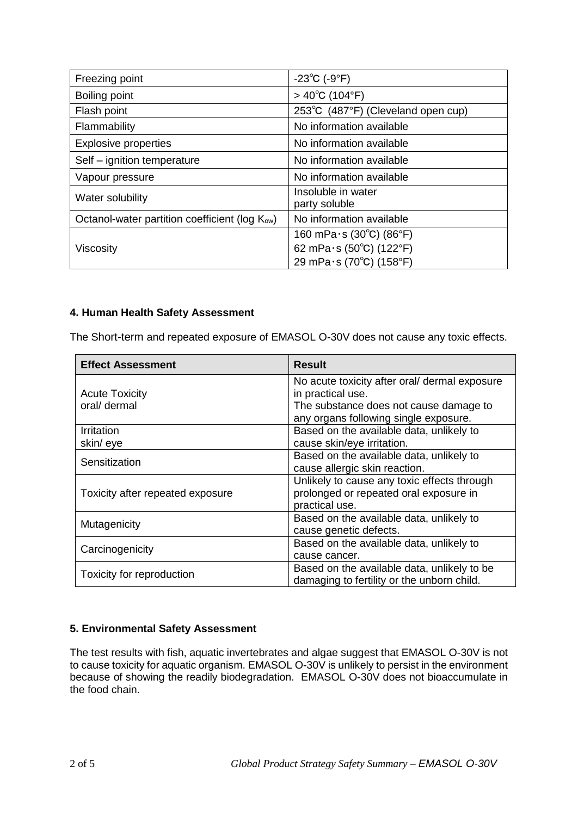| Freezing point                                             | $-23^{\circ}C$ (-9 $^{\circ}F$ )    |
|------------------------------------------------------------|-------------------------------------|
| Boiling point                                              | $>40^{\circ}$ C (104 $^{\circ}$ F)  |
| Flash point                                                | 253°C (487°F) (Cleveland open cup)  |
| Flammability                                               | No information available            |
| <b>Explosive properties</b>                                | No information available            |
| Self – ignition temperature                                | No information available            |
| Vapour pressure                                            | No information available            |
| Water solubility                                           | Insoluble in water<br>party soluble |
| Octanol-water partition coefficient (log K <sub>ow</sub> ) | No information available            |
|                                                            | 160 mPa $\cdot$ s (30°C) (86°F)     |
| Viscosity                                                  | 62 mPa $\cdot$ s (50°C) (122°F)     |
|                                                            | 29 mPa·s (70°C) (158°F)             |

# **4. Human Health Safety Assessment**

The Short-term and repeated exposure of EMASOL O-30V does not cause any toxic effects.

| <b>Effect Assessment</b>              | <b>Result</b>                                                                                                                                         |
|---------------------------------------|-------------------------------------------------------------------------------------------------------------------------------------------------------|
| <b>Acute Toxicity</b><br>oral/ dermal | No acute toxicity after oral/ dermal exposure<br>in practical use.<br>The substance does not cause damage to<br>any organs following single exposure. |
| Irritation<br>skin/eye                | Based on the available data, unlikely to<br>cause skin/eye irritation.                                                                                |
| Sensitization                         | Based on the available data, unlikely to<br>cause allergic skin reaction.                                                                             |
| Toxicity after repeated exposure      | Unlikely to cause any toxic effects through<br>prolonged or repeated oral exposure in<br>practical use.                                               |
| Mutagenicity                          | Based on the available data, unlikely to<br>cause genetic defects.                                                                                    |
| Carcinogenicity                       | Based on the available data, unlikely to<br>cause cancer.                                                                                             |
| Toxicity for reproduction             | Based on the available data, unlikely to be<br>damaging to fertility or the unborn child.                                                             |

# **5. Environmental Safety Assessment**

The test results with fish, aquatic invertebrates and algae suggest that EMASOL O-30V is not to cause toxicity for aquatic organism. EMASOL O-30V is unlikely to persist in the environment because of showing the readily biodegradation. EMASOL O-30V does not bioaccumulate in the food chain.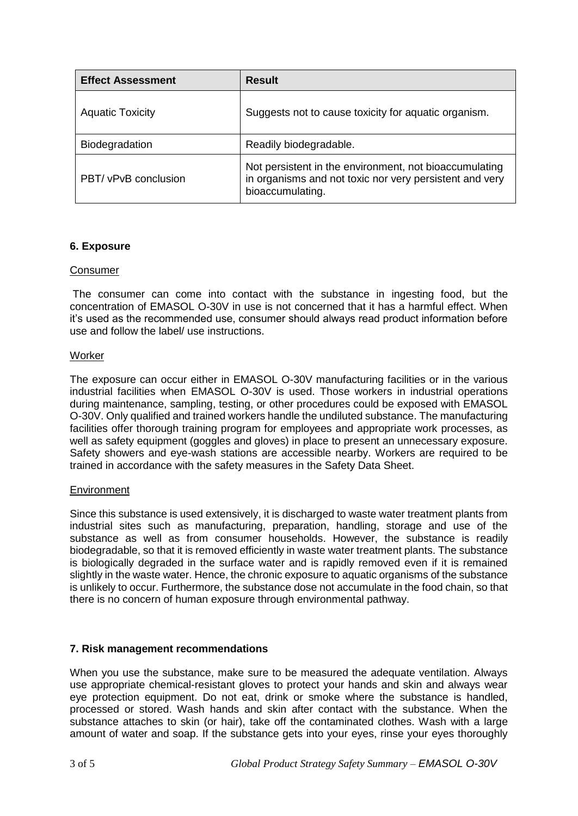| <b>Effect Assessment</b> | <b>Result</b>                                                                                                                         |
|--------------------------|---------------------------------------------------------------------------------------------------------------------------------------|
| <b>Aquatic Toxicity</b>  | Suggests not to cause toxicity for aquatic organism.                                                                                  |
| Biodegradation           | Readily biodegradable.                                                                                                                |
| PBT/ vPvB conclusion     | Not persistent in the environment, not bioaccumulating<br>in organisms and not toxic nor very persistent and very<br>bioaccumulating. |

### **6. Exposure**

### Consumer

The consumer can come into contact with the substance in ingesting food, but the concentration of EMASOL O-30V in use is not concerned that it has a harmful effect. When it's used as the recommended use, consumer should always read product information before use and follow the label/ use instructions.

### **Worker**

The exposure can occur either in EMASOL O-30V manufacturing facilities or in the various industrial facilities when EMASOL O-30V is used. Those workers in industrial operations during maintenance, sampling, testing, or other procedures could be exposed with EMASOL O-30V. Only qualified and trained workers handle the undiluted substance. The manufacturing facilities offer thorough training program for employees and appropriate work processes, as well as safety equipment (goggles and gloves) in place to present an unnecessary exposure. Safety showers and eye-wash stations are accessible nearby. Workers are required to be trained in accordance with the safety measures in the Safety Data Sheet.

#### **Environment**

Since this substance is used extensively, it is discharged to waste water treatment plants from industrial sites such as manufacturing, preparation, handling, storage and use of the substance as well as from consumer households. However, the substance is readily biodegradable, so that it is removed efficiently in waste water treatment plants. The substance is biologically degraded in the surface water and is rapidly removed even if it is remained slightly in the waste water. Hence, the chronic exposure to aquatic organisms of the substance is unlikely to occur. Furthermore, the substance dose not accumulate in the food chain, so that there is no concern of human exposure through environmental pathway.

### **7. Risk management recommendations**

When you use the substance, make sure to be measured the adequate ventilation. Always use appropriate chemical-resistant gloves to protect your hands and skin and always wear eye protection equipment. Do not eat, drink or smoke where the substance is handled, processed or stored. Wash hands and skin after contact with the substance. When the substance attaches to skin (or hair), take off the contaminated clothes. Wash with a large amount of water and soap. If the substance gets into your eyes, rinse your eyes thoroughly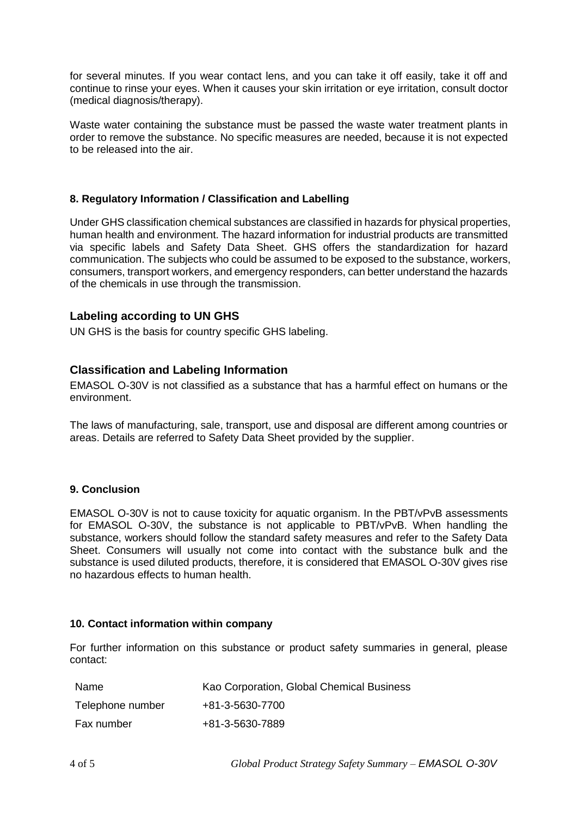for several minutes. If you wear contact lens, and you can take it off easily, take it off and continue to rinse your eyes. When it causes your skin irritation or eye irritation, consult doctor (medical diagnosis/therapy).

Waste water containing the substance must be passed the waste water treatment plants in order to remove the substance. No specific measures are needed, because it is not expected to be released into the air.

## **8. Regulatory Information / Classification and Labelling**

Under GHS classification chemical substances are classified in hazards for physical properties, human health and environment. The hazard information for industrial products are transmitted via specific labels and Safety Data Sheet. GHS offers the standardization for hazard communication. The subjects who could be assumed to be exposed to the substance, workers, consumers, transport workers, and emergency responders, can better understand the hazards of the chemicals in use through the transmission.

## **Labeling according to UN GHS**

UN GHS is the basis for country specific GHS labeling.

## **Classification and Labeling Information**

EMASOL O-30V is not classified as a substance that has a harmful effect on humans or the environment.

The laws of manufacturing, sale, transport, use and disposal are different among countries or areas. Details are referred to Safety Data Sheet provided by the supplier.

#### **9. Conclusion**

EMASOL O-30V is not to cause toxicity for aquatic organism. In the PBT/vPvB assessments for EMASOL O-30V, the substance is not applicable to PBT/vPvB. When handling the substance, workers should follow the standard safety measures and refer to the Safety Data Sheet. Consumers will usually not come into contact with the substance bulk and the substance is used diluted products, therefore, it is considered that EMASOL O-30V gives rise no hazardous effects to human health.

#### **10. Contact information within company**

For further information on this substance or product safety summaries in general, please contact:

| Name             | Kao Corporation, Global Chemical Business |
|------------------|-------------------------------------------|
| Telephone number | +81-3-5630-7700                           |
| Fax number       | +81-3-5630-7889                           |